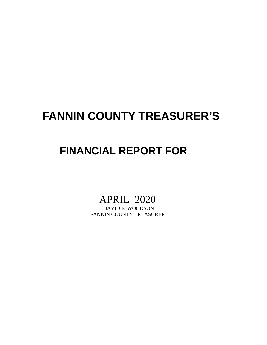# **FANNIN COUNTY TREASURER'S**

## **FINANCIAL REPORT FOR**

# APRIL 2020<br>DAVID E. WOODSON

FANNIN COUNTY TREASURER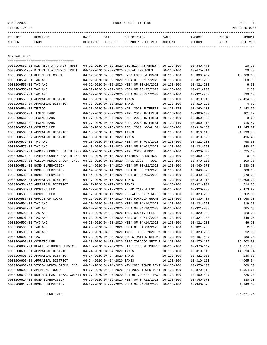05/06/2020 FUND DEPOSIT LISTING PAGE 1

| RECEIPT | <b>RECEIVED</b> | DATE     | DATE    | DESCRIPTION       | <b>BANK</b> | INCOME  | REPORT | <b>AMOUNT</b>   |
|---------|-----------------|----------|---------|-------------------|-------------|---------|--------|-----------------|
| NUMBER  | FROM            | RECEIVED | DEPOSIT | OF MONEY RECEIVED | ACCOUNT     | ACCOUNT | CODES  | <b>RECEIVED</b> |
|         |                 |          |         |                   |             |         |        |                 |

GENERAL FUND

| =====================================                                                                                       |                                                            |                                                      |                  |                                      |                     |
|-----------------------------------------------------------------------------------------------------------------------------|------------------------------------------------------------|------------------------------------------------------|------------------|--------------------------------------|---------------------|
| 0000200551-01 DISTRICT ATTORNEY TRUST                                                                                       |                                                            | 04-02-2020 04-02-2020 DISTRICT ATTORNEY F 10-103-100 |                  | $10 - 340 - 475$                     | 10.00               |
| 0000200551-02 DISTRICT ATTORNEY TRUST                                                                                       |                                                            | 04-02-2020 04-02-2020 POSTAL EXPENSES                | $10 - 103 - 100$ | $10 - 475 - 311$                     | 20.40               |
| 0000200553-01 OFFICE OF COURT                                                                                               |                                                            | 04-02-2020 04-02-2020 FY20 FORMULA GRANT             | 10-103-100       | $10 - 330 - 437$                     | 10,068.00           |
| 0000200554-01 TAX A/C                                                                                                       |                                                            | 04-02-2020 04-02-2020 WEEK OF 03/27/2020             | $10 - 103 - 100$ | $10 - 321 - 200$                     | 568.95              |
| 0000200555-01 TAX A/C                                                                                                       |                                                            | 04-02-2020 04-02-2020 WEEK OF 03/20/2020             | $10 - 103 - 100$ | $10 - 321 - 200$                     | 6.90                |
| 0000200556-01 TAX A/C                                                                                                       |                                                            | 04-02-2020 04-02-2020 WEEK OF 03/27/2020             | $10 - 103 - 100$ | $10 - 321 - 200$                     | 2.30                |
| 0000200557-01 TAX A/C                                                                                                       |                                                            | 04-02-2020 04-02-2020 WEEK OF 03/27/2020             | $10 - 103 - 100$ | $10 - 321 - 250$                     | 190.00              |
| 0000200560-01 APPRAISAL DISTRICT                                                                                            | 04-03-2020 04-03-2020 TAXES                                |                                                      | $10 - 103 - 100$ | $10 - 310 - 110$                     | 27,424.36           |
| 0000200560-07 APPRAISAL DISTRICT                                                                                            | 04-03-2020 04-03-2020 TAXES                                |                                                      | $10 - 103 - 100$ | $10 - 310 - 120$                     | 4.62                |
| 0000200564-01 TEXPOOL                                                                                                       |                                                            | 04-03-2020 04-03-2020 MAR. 2020 INTEREST 10-103-175  |                  | $10 - 360 - 100$                     | 2,142.36            |
| 0000200566-01 LEGEND BANK                                                                                                   |                                                            | 04-07-2020 04-07-2020 MAR. 2020 INTEREST             | 10-103-100       | $10 - 360 - 100$                     | 901.27              |
| 0000200566-30 LEGEND BANK                                                                                                   |                                                            | 04-07-2020 04-07-2020 MAR. 2020 INTEREST             | $10 - 100 - 100$ | $10 - 360 - 100$                     | 9.68                |
| 0000200566-32 LEGEND BANK                                                                                                   |                                                            | 04-07-2020 04-07-2020 MAR. 2020 INTEREST             | 10-103-110       | $10 - 360 - 110$                     | 915.47              |
| 0000200567-01 COMPTROLLER                                                                                                   |                                                            | 04-13-2020 04-13-2020 FEB. 2020 LOCAL SAL 10-103-100 |                  | $10 - 318 - 160$                     | 77,145.87           |
| 0000200568-01 APPRAISAL DISTRICT                                                                                            | 04-13-2020 04-13-2020 TAXES                                |                                                      | $10 - 103 - 100$ | $10 - 310 - 110$                     | 21, 193. 78         |
| 0000200568-07 APPRAISAL DISTRICT                                                                                            | 04-13-2020 04-13-2020 TAXES                                |                                                      | $10 - 103 - 100$ | $10 - 310 - 120$                     | 416.40              |
| 0000200572-01 TAX A/C                                                                                                       |                                                            | 04-13-2020 04-13-2020 WEEK OF 04/03/2020 10-103-100  |                  | $10 - 321 - 200$                     | 798.50              |
| 0000200573-01 TAX A/C                                                                                                       |                                                            | 04-13-2020 04-13-2020 WEEK OF 04/03/2020             | 10-103-100       | $10 - 321 - 250$                     | 440.62              |
| 0000200578-01 FANNIN COUNTY HEALTH INSP 04-13-2020 04-13-2020 MAR. 2020 REPORT                                              |                                                            |                                                      | $10 - 103 - 100$ | $10 - 320 - 300$                     | 5,725.00            |
| 0000200578-02 FANNIN COUNTY HEALTH INSP 04-13-2020 04-13-2020 INTEREST EARNINGS                                             |                                                            |                                                      | $10 - 103 - 100$ | $10 - 360 - 100$                     | 0.10                |
| 0000200579-01 VISION MEDIA GROUP, INC. 04-13-2020 04-13-2020 APRIL 2020 - TOWER                                             |                                                            |                                                      | $10 - 103 - 100$ | $10 - 370 - 100$                     | 200.00              |
| 0000200581-01 BOND SUPERVISION                                                                                              |                                                            | 04-14-2020 04-14-2020 WEEK OF 03/22/2020             | $10 - 103 - 100$ | $10 - 340 - 573$                     | 1,380.00            |
| 0000200582-01 BOND SUPERVISION                                                                                              |                                                            | 04-14-2020 04-14-2020 WEEK OF 03/29/2020             | $10 - 103 - 100$ | $10 - 340 - 573$                     | 300.00              |
| 0000200583-01 BOND SUPERVISION                                                                                              |                                                            | 04-14-2020 04-14-2020 WEEK OF 04/05/2020             | 10-103-100       | $10 - 340 - 573$                     | 670.00              |
| 0000200584-01 APPRAISAL DISTRICT                                                                                            | 04-17-2020 04-17-2020 TAXES                                |                                                      | $10 - 103 - 100$ | $10 - 310 - 110$                     | 33,209.93           |
| 0000200584-03 APPRAISAL DISTRICT                                                                                            | 04-17-2020 04-17-2020 TAXES                                |                                                      | $10 - 103 - 100$ | $10 - 321 - 901$                     | 514.88              |
| 0000200585-01 COMPTROLLER                                                                                                   |                                                            | 04-17-2020 04-17-2020 MB GR CNTY ALLOC.              | $10 - 103 - 100$ | $10 - 320 - 200$                     | 2,473.97            |
| 0000200585-02 COMPTROLLER                                                                                                   |                                                            | 04-17-2020 04-17-2020 MB SALES CNTY ALLOC 10-103-100 |                  | $10 - 320 - 200$                     | 3,202.39            |
| 0000200586-01 OFFICE OF COURT                                                                                               |                                                            | 04-17-2020 04-17-2020 FY20 FORMULA GRANT             | 10-103-100       | $10 - 330 - 437$                     | 10,068.00           |
| 0000200591-01 TAX A/C                                                                                                       |                                                            | 04-20-2020 04-20-2020 WEEK OF 04/10/2020             | 10-103-100       | $10 - 321 - 250$                     | 319.38              |
| 0000200592-01 TAX A/C                                                                                                       |                                                            | 04-20-2020 04-20-2020 WEEK OF 04/10/2020             | $10 - 103 - 100$ | $10 - 321 - 200$                     | 685.05              |
| 0000200593-01 TAX A/C                                                                                                       |                                                            | 04-20-2020 04-20-2020 TABC COUNTY FEES -             | 10-103-100       | $10 - 320 - 200$                     | 120.00              |
| 0000200596-01 TAX A/C                                                                                                       |                                                            | 04-23-2020 04-23-2020 WEEK OF 04/17/2020             | 10-103-100       | $10 - 321 - 200$                     | 648.05              |
| 0000200597-01 TAX A/C                                                                                                       |                                                            | 04-23-2020 04-23-2020 WEEK OF 04/10/2020             | 10-103-100       | $10 - 321 - 200$                     | 46.00               |
| 0000200598-01 TAX A/C                                                                                                       |                                                            | 04-23-2020 04-23-2020 WEEK OF 04/03/2020             | 10-103-100       | $10 - 321 - 200$                     | 2.50                |
| 0000200599-01 TAX A/C                                                                                                       |                                                            | 04-23-2020 04-23-2020 TABC - FEB. 2020 5% 10-103-100 |                  | $10 - 320 - 200$                     | 12.00               |
| 0000200600-01 TAC                                                                                                           |                                                            | 04-23-2020 04-23-2020 REGISTRATION REFUND 10-103-100 |                  | $10 - 497 - 427$                     | 180.00              |
| 0000200603-01 COMPTROLLER                                                                                                   |                                                            | 04-23-2020 04-23-2020 2020 TOBACCO SETTLE 10-103-100 |                  | 10-370-112                           | 19,703.58           |
| 0000200604-01 HEALTH & HUMAN SERVICES<br>0000200605-01 APPRAISAL DISTRICT                                                   |                                                            | 04-23-2020 04-23-2020 UTILITIES REIMBURSE 10-103-100 |                  | $10 - 370 - 147$                     | 1,077.83            |
|                                                                                                                             | 04-24-2020 04-24-2020 TAXES<br>04-24-2020 04-24-2020 TAXES |                                                      | $10 - 103 - 100$ | $10 - 310 - 110$                     | 14,610.74<br>136.63 |
| 0000200605-02 APPRAISAL DISTRICT                                                                                            |                                                            |                                                      | $10 - 103 - 100$ | $10 - 321 - 901$                     | 4,065.94            |
| 0000200605-08 APPRAISAL DISTRICT                                                                                            | 04-24-2020 04-24-2020 TAXES                                |                                                      | $10 - 103 - 100$ | $10 - 310 - 120$                     |                     |
| 0000200607-01 VISION MEDIA GROUP, INC. 04-24-2020 04-24-2020 MAY 2020 TOWER RENT 10-103-100<br>0000200608-01 AMERICAN TOWER |                                                            | 04-27-2020 04-27-2020 MAY 2020 TOWER RENT 10-103-100 |                  | $10 - 370 - 100$                     | 200.00              |
| 0000200612-01 NORTH & EAST TEXAS COUNTY 04-27-2020 04-27-2020 OUT OF COUNTY TRAVE 10-103-100                                |                                                            |                                                      |                  | $10 - 370 - 115$<br>$10 - 400 - 427$ | 1,064.61<br>225.00  |
| 0000200614-01 BOND SUPERVISION                                                                                              |                                                            | 04-29-2020 04-29-2020 WEEK OF 04/12/2020 10-103-100  |                  | $10 - 340 - 573$                     | 830.00              |
| 0000200615-01 BOND SUPERVISION                                                                                              |                                                            | 04-29-2020 04-29-2020 WEEK OF 04/18/2020 10-103-100  |                  | $10 - 340 - 573$                     | 1,340.00            |
|                                                                                                                             |                                                            |                                                      |                  |                                      |                     |

FUND TOTAL 245,271.06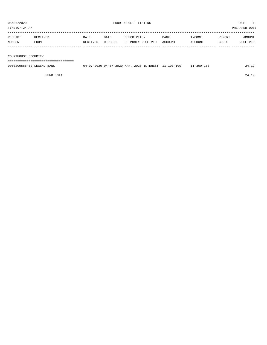| TIME: 07:24 AM      |                           |                  |                 |                                                     |                        |                   |                 | PREPARER:0007      |
|---------------------|---------------------------|------------------|-----------------|-----------------------------------------------------|------------------------|-------------------|-----------------|--------------------|
| RECEIPT<br>NUMBER   | RECEIVED<br>FROM          | DATE<br>RECEIVED | DATE<br>DEPOSIT | DESCRIPTION<br>OF MONEY RECEIVED                    | <b>BANK</b><br>ACCOUNT | INCOME<br>ACCOUNT | REPORT<br>CODES | AMOUNT<br>RECEIVED |
|                     |                           |                  |                 |                                                     |                        |                   |                 |                    |
| COURTHOUSE SECURITY |                           |                  |                 |                                                     |                        |                   |                 |                    |
|                     |                           |                  |                 |                                                     |                        |                   |                 |                    |
|                     | 0000200566-02 LEGEND BANK |                  |                 | 04-07-2020 04-07-2020 MAR. 2020 INTEREST 11-103-100 |                        | $11 - 360 - 100$  |                 | 24.19              |

FUND TOTAL 24.19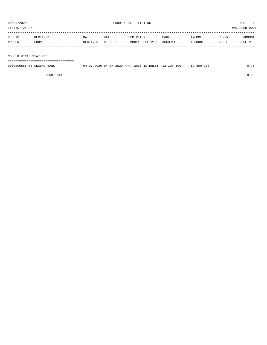TIME:07:24 AM PREPARER:0007

| RECEIPT       | RECEIVED    | DATE     | DATE    | DESCRIPTION       | <b>BANK</b> | <b>TNCOME</b> | REPORT | AMOUNT   |
|---------------|-------------|----------|---------|-------------------|-------------|---------------|--------|----------|
| <b>NUMBER</b> | <b>FROM</b> | RECEIVED | DEPOSIT | OF MONEY RECEIVED | ACCOUNT     | ACCOUNT       | CODES  | RECEIVED |
|               |             |          |         |                   |             |               |        |          |

CO.CLK.VITAL STAT.FEE

===================================

| 0000200566-03 LEGEND BANK | 04-07-2020 04-07-2020 MAR. 2020 INTEREST 12-103-100 |  | $12 - 360 - 100$ | 0.75 |
|---------------------------|-----------------------------------------------------|--|------------------|------|
|                           |                                                     |  |                  |      |

FUND TOTAL 0.75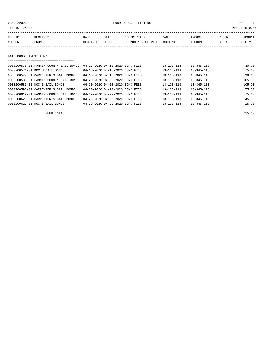### 05/06/2020 FUND DEPOSIT LISTING PAGE 1

| RECEIPT | RECEIVED              | DATE     | DATE    | DESCRIPTION       | <b>BANK</b> | INCOME  | REPORT | AMOUNT   |  |  |  |
|---------|-----------------------|----------|---------|-------------------|-------------|---------|--------|----------|--|--|--|
| NUMBER  | FROM                  | RECEIVED | DEPOSIT | OF MONEY RECEIVED | ACCOUNT     | ACCOUNT | CODES  | RECEIVED |  |  |  |
|         |                       |          |         |                   |             |         |        |          |  |  |  |
|         |                       |          |         |                   |             |         |        |          |  |  |  |
|         | BAIL BONDS TRUST FUND |          |         |                   |             |         |        |          |  |  |  |
|         |                       |          |         |                   |             |         |        |          |  |  |  |

| 0000200575-01 FANNIN COUNTY BAIL BONDS | 04-13-2020 04-13-2020 BOND FEES | $13 - 103 - 113$ | $13 - 345 - 113$ | 30.00  |
|----------------------------------------|---------------------------------|------------------|------------------|--------|
| 0000200576-01 DOC'S BAIL BONDS         | 04-13-2020 04-13-2020 BOND FEES | $13 - 103 - 113$ | $13 - 345 - 113$ | 75.00  |
| 0000200577-01 CARPENTER'S BAIL BONDS   | 04-13-2020 04-13-2020 BOND FEES | $13 - 103 - 113$ | $13 - 345 - 113$ | 90.00  |
| 0000200588-01 FANNIN COUNTY BAIL BONDS | 04-20-2020 04-20-2020 BOND FEES | $13 - 103 - 113$ | $13 - 345 - 113$ | 105.00 |
| 0000200589-01 DOC'S BAIL BONDS         | 04-20-2020 04-20-2020 BOND FEES | $13 - 103 - 113$ | $13 - 345 - 113$ | 105.00 |
| 0000200590-01 CARPENTER'S BAIL BONDS   | 04-20-2020 04-20-2020 BOND FEES | $13 - 103 - 113$ | $13 - 345 - 113$ | 75.00  |
| 0000200619-01 FANNIN COUNTY BAIL BONDS | 04-29-2020 04-29-2020 BOND FEES | $13 - 103 - 113$ | $13 - 345 - 113$ | 75.00  |
| 0000200620-01 CARPENTER'S BAIL BONDS   | 04-29-2020 04-29-2020 BOND FEES | $13 - 103 - 113$ | $13 - 345 - 113$ | 45.00  |
| 0000200621-01 DOC'S BAIL BONDS         | 04-29-2020 04-29-2020 BOND FEES | $13 - 103 - 113$ | $13 - 345 - 113$ | 15.00  |

FUND TOTAL 615.00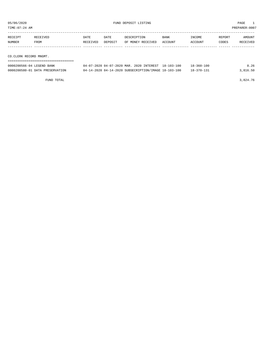TIME:07:24 AM PREPARER:0007

| RECEIPT | RECEIVED | DATE     | DATE    | DESCRIPTION       | <b>BANK</b> | INCOME  | REPORT | AMOUNT   |
|---------|----------|----------|---------|-------------------|-------------|---------|--------|----------|
| NUMBER  | FROM     | RECEIVED | DEPOSIT | OF MONEY RECEIVED | ACCOUNT     | ACCOUNT | CODES  | RECEIVED |
|         |          |          |         |                   |             |         |        |          |
|         |          |          |         |                   |             |         |        |          |

CO.CLERK RECORD MNGMT.

| 0000200566-04 LEGEND BANK       | 04-07-2020 04-07-2020 MAR. 2020 INTEREST 18-103-100  | $18 - 360 - 100$ | 8.26     |
|---------------------------------|------------------------------------------------------|------------------|----------|
| 0000200580-01 DATA PRESERVATION | 04-14-2020 04-14-2020 SUBSECRIPTION/IMAGE 18-103-100 | $18 - 370 - 131$ | 3,816.50 |

FUND TOTAL  $3,824.76$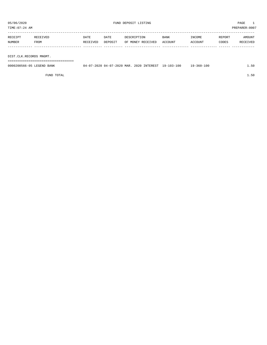TIME:07:24 AM PREPARER:0007 -----------------------------------------------------------------------------------------------------------------------------------

| RECEIPT | <b>RECEIVED</b> | DATE            | DATE           | DESCRIPTION       | <b>BANK</b>    | INCOME  | REPORT | AMOUNT          |
|---------|-----------------|-----------------|----------------|-------------------|----------------|---------|--------|-----------------|
| NUMBER  | FROM            | <b>RECEIVED</b> | <b>DEPOSTT</b> | OF MONEY RECEIVED | <b>ACCOUNT</b> | ACCOUNT | CODES  | <b>RECEIVED</b> |
|         |                 |                 |                |                   |                |         |        |                 |

DIST.CLK.RECORDS MNGMT.

===================================

| 0000200566-05 LEGEND BANK | 04-07-2020 04-07-2020 MAR. 2020 INTEREST 19-103-100 |  | 19-360-100 | 1.50 |
|---------------------------|-----------------------------------------------------|--|------------|------|
|                           |                                                     |  |            |      |

FUND TOTAL 1.50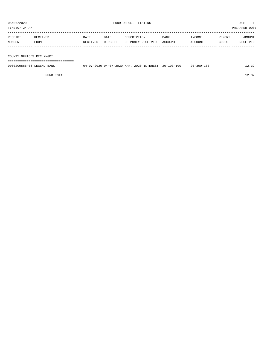| PREPARER: 0007<br>TIME:07:24 AM |                  |                  |                 |                                  |                 |                   |                 |                    |
|---------------------------------|------------------|------------------|-----------------|----------------------------------|-----------------|-------------------|-----------------|--------------------|
| RECEIPT<br>NUMBER               | RECEIVED<br>FROM | DATE<br>RECEIVED | DATE<br>DEPOSIT | DESCRIPTION<br>OF MONEY RECEIVED | BANK<br>ACCOUNT | INCOME<br>ACCOUNT | REPORT<br>CODES | AMOUNT<br>RECEIVED |
|                                 |                  |                  |                 |                                  |                 |                   |                 |                    |

COUNTY OFFICES REC.MNGMT.

===================================

| 0000200566-06 LEGEND BANK | 17-2020 04-07-2020 MAR.<br>N 4. | 2020 INTEREST | $20 - 103 - 100$ | $20 - 360 - 100$ |  |
|---------------------------|---------------------------------|---------------|------------------|------------------|--|
|                           |                                 |               |                  |                  |  |

FUND TOTAL 12.32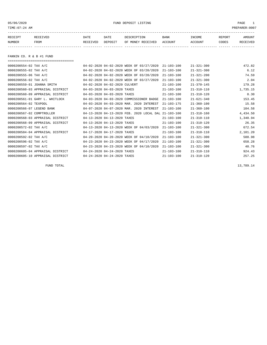05/06/2020 FUND DEPOSIT LISTING PAGE 1

| RECEIPT | <b>RECEIVED</b> | DATE     | DATE    | דידס דפר/פתח         | <b>BANK</b> | INCOME  | REPORT | AMOUNT          |
|---------|-----------------|----------|---------|----------------------|-------------|---------|--------|-----------------|
| NUMBER  | FROM            | RECEIVED | DEPOSIT | RECEIVED<br>OF MONEY | ACCOUNT     | ACCOUNT | CODES  | <b>RECEIVED</b> |
|         |                 |          |         |                      |             |         |        |                 |

FANNIN CO. R & B #1 FUND

===================================

| 0000200554-02 TAX A/C            |                               | 04-02-2020 04-02-2020 WEEK OF 03/27/2020  | $21 - 103 - 100$ | $21 - 321 - 300$ | 472.82   |
|----------------------------------|-------------------------------|-------------------------------------------|------------------|------------------|----------|
| 0000200555-02 TAX A/C            |                               | 04-02-2020 04-02-2020 WEEK OF 03/20/2020  | $21 - 103 - 100$ | $21 - 321 - 300$ | 6.12     |
| 0000200555-06 TAX A/C            |                               | 04-02-2020 04-02-2020 WEEK OF 03/20/2020  | $21 - 103 - 100$ | $21 - 321 - 200$ | 74.59    |
| 0000200556-02 TAX A/C            |                               | 04-02-2020 04-02-2020 WEEK OF 03/27/2020  | $21 - 103 - 100$ | $21 - 321 - 300$ | 2.04     |
| 0000200559-01 JOANNA SMITH       | 04-02-2020 04-02-2020 CULVERT |                                           | $21 - 103 - 100$ | $21 - 370 - 145$ | 179.28   |
| 0000200560-03 APPRAISAL DISTRICT | 04-03-2020 04-03-2020 TAXES   |                                           | $21 - 103 - 100$ | $21 - 310 - 110$ | 1,735.15 |
| 0000200560-09 APPRAISAL DISTRICT | 04-03-2020 04-03-2020 TAXES   |                                           | $21 - 103 - 100$ | $21 - 310 - 120$ | 0.30     |
| 0000200561-01 GARY L. WHITLOCK   |                               | 04-03-2020 04-03-2020 COMMISSIONER BADGE  | $21 - 103 - 100$ | $21 - 621 - 340$ | 153.45   |
| 0000200564-02 TEXPOOL            |                               | 04-03-2020 04-03-2020 MAR, 2020 INTEREST  | $21 - 103 - 175$ | $21 - 360 - 100$ | 15.58    |
| 0000200566-07 LEGEND BANK        |                               | 04-07-2020 04-07-2020 MAR. 2020 INTEREST  | $21 - 103 - 100$ | $21 - 360 - 100$ | 104.58   |
| 0000200567-02 COMPTROLLER        |                               | 04-13-2020 04-13-2020 FEB. 2020 LOCAL DAL | $21 - 103 - 100$ | $21 - 318 - 160$ | 4,434.50 |
| 0000200568-03 APPRAISAL DISTRICT | 04-13-2020 04-13-2020 TAXES   |                                           | $21 - 103 - 100$ | $21 - 310 - 110$ | 1,340.94 |
| 0000200568-09 APPRAISAL DISTRICT | 04-13-2020 04-13-2020 TAXES   |                                           | $21 - 103 - 100$ | $21 - 310 - 120$ | 26.35    |
| 0000200572-02 TAX A/C            |                               | 04-13-2020 04-13-2020 WEEK OF 04/03/2020  | $21 - 103 - 100$ | $21 - 321 - 300$ | 672.54   |
| 0000200584-04 APPRAISAL DISTRICT | 04-17-2020 04-17-2020 TAXES   |                                           | $21 - 103 - 100$ | $21 - 310 - 110$ | 2,101.20 |
| 0000200592-02 TAX A/C            |                               | 04-20-2020 04-20-2020 WEEK OF 04/10/2020  | $21 - 103 - 100$ | $21 - 321 - 300$ | 588.98   |
| 0000200596-02 TAX A/C            |                               | 04-23-2020 04-23-2020 WEEK OF 04/17/2020  | $21 - 103 - 100$ | $21 - 321 - 300$ | 658.28   |
| 0000200597-02 TAX A/C            |                               | 04-23-2020 04-23-2020 WEEK OF 04/10/2020  | $21 - 103 - 100$ | $21 - 321 - 300$ | 40.76    |
| 0000200605-04 APPRAISAL DISTRICT | 04-24-2020 04-24-2020 TAXES   |                                           | $21 - 103 - 100$ | $21 - 310 - 110$ | 924.43   |
| 0000200605-10 APPRAISAL DISTRICT | 04-24-2020 04-24-2020 TAXES   |                                           | $21 - 103 - 100$ | $21 - 310 - 120$ | 257.25   |

FUND TOTAL  $13,789.14$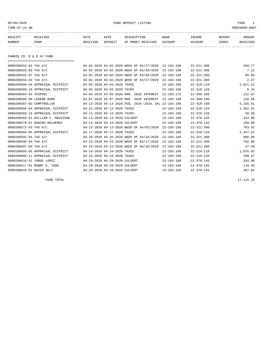05/06/2020 PUND DEPOSIT LISTING PAGE 1

| RECEIPT | <b>RECEIVED</b> | DATE     | DATE    | DESCRIPTION       | <b>BANK</b> | INCOME  | <b>REPORT</b> | AMOUNT          |
|---------|-----------------|----------|---------|-------------------|-------------|---------|---------------|-----------------|
| NUMBER  | FROM            | RECEIVED | DEPOSIT | OF MONEY RECEIVED | ACCOUNT     | ACCOUNT | CODES         | <b>RECEIVED</b> |
|         |                 |          |         |                   |             |         |               |                 |

FANNIN CO. R & B #2 FUND

| ==================================== |                               |                                                      |                  |                  |          |
|--------------------------------------|-------------------------------|------------------------------------------------------|------------------|------------------|----------|
| 0000200554-03 TAX A/C                |                               | 04-02-2020 04-02-2020 WEEK OF 03/27/2020             | $22 - 103 - 100$ | $22 - 321 - 300$ | 550.77   |
| 0000200555-03 TAX A/C                |                               | 04-02-2020 04-02-2020 WEEK OF 03/20/2020             | $22 - 103 - 100$ | $22 - 321 - 300$ | 7.12     |
| 0000200555-07 TAX A/C                |                               | 04-02-2020 04-02-2020 WEEK OF 03/20/2020             | $22 - 103 - 100$ | $22 - 321 - 200$ | 86.89    |
| 0000200556-03 TAX A/C                |                               | 04-02-2020 04-02-2020 WEEK OF 03/27/2020             | $22 - 103 - 100$ | $22 - 321 - 300$ | 2.37     |
| 0000200560-04 APPRAISAL DISTRICT     | 04-03-2020 04-03-2020 TAXES   |                                                      | $22 - 103 - 100$ | $22 - 310 - 110$ | 2,021.22 |
| 0000200560-10 APPRAISAL DISTRICT     | 04-03-2020 04-03-2020 TAXES   |                                                      | $22 - 103 - 100$ | $22 - 310 - 120$ | 0.34     |
| 0000200564-03 TEXPOOL                |                               | 04-03-2020 04-03-2020 MAR. 2020 INTEREST             | $22 - 103 - 175$ | $22 - 360 - 100$ | 222.97   |
| 0000200566-08 LEGEND BANK            |                               | 04-07-2020 04-07-2020 MAR. 2020 INTEREST             | $22 - 103 - 100$ | $22 - 360 - 100$ | 120.36   |
| 0000200567-03 COMPTROLLER            |                               | 04-13-2020 04-13-2020 FEB. 2020 LOCAL SAL 22-103-100 |                  | $22 - 318 - 160$ | 5,165.61 |
| 0000200568-04 APPRAISAL DISTRICT     | 04-13-2020 04-13-2020 TAXES   |                                                      | $22 - 103 - 100$ | $22 - 310 - 110$ | 1,562.01 |
| 0000200568-10 APPRAISAL DISTRICT     | 04-13-2020 04-13-2020 TAXES   |                                                      | $22 - 103 - 100$ | $22 - 310 - 120$ | 30.69    |
| 0000200569-01 WILLIAM F. MACSISAK    | 04-13-2020 04-13-2020 CULVERT |                                                      | $22 - 103 - 100$ | $22 - 370 - 145$ | 334.80   |
| 0000200570-01 GABINO BALDERES        | 04-13-2020 04-13-2020 CULVERT |                                                      | $22 - 103 - 100$ | $22 - 370 - 145$ | 150.00   |
| 0000200572-03 TAX A/C                |                               | 04-13-2020 04-13-2020 WEEK OF 04/03/2020             | $22 - 103 - 100$ | $22 - 321 - 300$ | 783.42   |
| 0000200584-05 APPRAISAL DISTRICT     | 04-17-2020 04-17-2020 TAXES   |                                                      | $22 - 103 - 100$ | $22 - 310 - 110$ | 2,447.62 |
| 0000200592-03 TAX A/C                |                               | 04-20-2020 04-20-2020 WEEK OF 04/10/2020             | $22 - 103 - 100$ | $22 - 321 - 300$ | 686.09   |
| 0000200596-03 TAX A/C                |                               | 04-23-2020 04-23-2020 WEEK OF 04/17/2020             | $22 - 103 - 100$ | $22 - 321 - 300$ | 766.80   |
| 0000200597-03 TAX A/C                |                               | 04-23-2020 04-23-2020 WEEK OF 04/10/2020             | $22 - 103 - 100$ | $22 - 321 - 300$ | 47.48    |
| 0000200605-05 APPRAISAL DISTRICT     | 04-24-2020 04-24-2020 TAXES   |                                                      | $22 - 103 - 100$ | $22 - 310 - 110$ | 1,076.83 |
| 0000200605-11 APPRAISAL DISTRICT     | 04-24-2020 04-24-2020 TAXES   |                                                      | $22 - 103 - 100$ | $22 - 310 - 120$ | 299.67   |
| 0000200616-01 JORGE LOPEZ            | 04-29-2020 04-29-2020 CULVERT |                                                      | $22 - 103 - 100$ | $22 - 370 - 145$ | 334.80   |
| 0000200617-01 BOBBY G. TODD          | 04-29-2020 04-29-2020 CULVERT |                                                      | $22 - 103 - 100$ | $22 - 370 - 145$ | 149.40   |
| 0000200618-01 KEVIN SELF             | 04-29-2020 04-29-2020 CULVERT |                                                      | $22 - 103 - 100$ | $22 - 370 - 145$ | 267.84   |

FUND TOTAL  $17,115.10$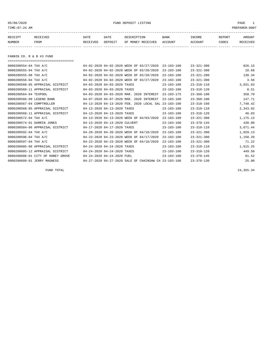05/06/2020 PUND DEPOSIT LISTING PAGE 1

| RECEIPT | <b>RECEIVED</b> | DATE     | DATE    | דידס דפר/פתח         | <b>BANK</b> | INCOME  | REPORT | AMOUNT          |
|---------|-----------------|----------|---------|----------------------|-------------|---------|--------|-----------------|
| NUMBER  | FROM            | RECEIVED | DEPOSIT | RECEIVED<br>OF MONEY | ACCOUNT     | ACCOUNT | CODES  | <b>RECEIVED</b> |
|         |                 |          |         |                      |             |         |        |                 |

FANNIN CO. R & B #3 FUND

===================================

| 0000200554-04 TAX A/C             |                               | 04-02-2020 04-02-2020 WEEK OF 03/27/2020             | $23 - 103 - 100$ | $23 - 321 - 300$ | 826.15   |
|-----------------------------------|-------------------------------|------------------------------------------------------|------------------|------------------|----------|
| 0000200555-04 TAX A/C             |                               | 04-02-2020 04-02-2020 WEEK OF 03/20/2020             | $23 - 103 - 100$ | $23 - 321 - 300$ | 10.68    |
| 0000200555-08 TAX A/C             |                               | 04-02-2020 04-02-2020 WEEK OF 03/20/2020             | $23 - 103 - 100$ | $23 - 321 - 200$ | 130.34   |
| 0000200556-04 TAX A/C             |                               | 04-02-2020 04-02-2020 WEEK OF 03/27/2020             | $23 - 103 - 100$ | $23 - 321 - 300$ | 3.56     |
| 0000200560-05 APPRAISAL DISTRICT  | 04-03-2020 04-03-2020 TAXES   |                                                      | $23 - 103 - 100$ | $23 - 310 - 110$ | 3,031.83 |
| 0000200560-11 APPRAISAL DISTRICT  | 04-03-2020 04-03-2020 TAXES   |                                                      | $23 - 103 - 100$ | $23 - 310 - 120$ | 0.51     |
| 0000200564-04 TEXPOOL             |                               | 04-03-2020 04-03-2020 MAR. 2020 INTEREST             | $23 - 103 - 175$ | $23 - 360 - 100$ | 358.70   |
| 0000200566-09 LEGEND BANK         |                               | 04-07-2020 04-07-2020 MAR. 2020 INTEREST             | $23 - 103 - 100$ | $23 - 360 - 100$ | 147.71   |
| 0000200567-04 COMPTROLLER         |                               | 04-13-2020 04-13-2020 FEB. 2020 LOCAL SAL            | $23 - 103 - 100$ | $23 - 318 - 160$ | 7,748.42 |
| 0000200568-05 APPRAISAL DISTRICT  | 04-13-2020 04-13-2020 TAXES   |                                                      | $23 - 103 - 100$ | $23 - 310 - 110$ | 2,343.02 |
| 0000200568-11 APPRAISAL DISTRICT  | 04-13-2020 04-13-2020 TAXES   |                                                      | $23 - 103 - 100$ | $23 - 310 - 120$ | 46.03    |
| 0000200572-04 TAX A/C             |                               | 04-13-2020 04-13-2020 WEEK OF 04/03/2020             | $23 - 103 - 100$ | $23 - 321 - 300$ | 1,175.13 |
| 0000200574-01 DARRIN JONES        | 04-13-2020 04-13-2020 CULVERT |                                                      | $23 - 103 - 100$ | $23 - 370 - 145$ | 430.00   |
| 0000200584-06 APPRAISAL DISTRICT  | 04-17-2020 04-17-2020 TAXES   |                                                      | $23 - 103 - 100$ | $23 - 310 - 110$ | 3,671.44 |
| 0000200592-04 TAX A/C             |                               | 04-20-2020 04-20-2020 WEEK OF 04/10/2020             | $23 - 103 - 100$ | $23 - 321 - 300$ | 1,029.13 |
| 0000200596-04 TAX A/C             |                               | 04-23-2020 04-23-2020 WEEK OF 04/17/2020             | $23 - 103 - 100$ | $23 - 321 - 300$ | 1,150.20 |
| 0000200597-04 TAX A/C             |                               | 04-23-2020 04-23-2020 WEEK OF 04/10/2020             | $23 - 103 - 100$ | $23 - 321 - 300$ | 71.22    |
| 0000200605-06 APPRAISAL DISTRICT  | 04-24-2020 04-24-2020 TAXES   |                                                      | $23 - 103 - 100$ | $23 - 310 - 110$ | 1,615.25 |
| 0000200605-12 APPRAISAL DISTRICT  | 04-24-2020 04-24-2020 TAXES   |                                                      | $23 - 103 - 100$ | $23 - 310 - 120$ | 449.50   |
| 0000200606-01 CITY OF HONEY GROVE | 04-24-2020 04-24-2020 FUEL    |                                                      | $23 - 103 - 100$ | $23 - 370 - 145$ | 91.52    |
| 0000200609-01 JERRY MAGNESS       |                               | 04-27-2020 04-27-2020 SALE OF CHAINSAW CH 23-103-100 |                  | $23 - 370 - 130$ | 25.00    |

FUND TOTAL 24,355.34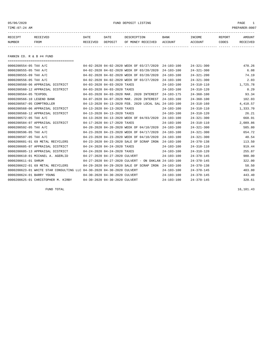05/06/2020 PUND DEPOSIT LISTING PAGE 1

| RECEIPT | <b>RECEIVED</b> | DATE     | DATE    | DESCRIPTION       | <b>BANK</b> | INCOME  | REPORT | AMOUNT          |
|---------|-----------------|----------|---------|-------------------|-------------|---------|--------|-----------------|
| NUMBER  | FROM            | RECEIVED | DEPOSIT | OF MONEY RECEIVED | ACCOUNT     | ACCOUNT | CODES  | <b>RECEIVED</b> |
|         |                 |          |         |                   |             |         |        |                 |

FANNIN CO. R & B #4 FUND

| ====================================                                  |                               |                                                      |                  |                  |          |
|-----------------------------------------------------------------------|-------------------------------|------------------------------------------------------|------------------|------------------|----------|
| 0000200554-05 TAX A/C                                                 |                               | 04-02-2020 04-02-2020 WEEK OF 03/27/2020             | $24 - 103 - 100$ | $24 - 321 - 300$ | 470.26   |
| 0000200555-05 TAX A/C                                                 |                               | 04-02-2020 04-02-2020 WEEK OF 03/20/2020             | $24 - 103 - 100$ | $24 - 321 - 300$ | 6.08     |
| 0000200555-09 TAX A/C                                                 |                               | 04-02-2020 04-02-2020 WEEK OF 03/20/2020             | $24 - 103 - 100$ | $24 - 321 - 200$ | 74.19    |
| 0000200556-05 TAX A/C                                                 |                               | 04-02-2020 04-02-2020 WEEK OF 03/27/2020             | $24 - 103 - 100$ | $24 - 321 - 300$ | 2.03     |
| 0000200560-06 APPRAISAL DISTRICT                                      | 04-03-2020 04-03-2020 TAXES   |                                                      | $24 - 103 - 100$ | $24 - 310 - 110$ | 1,725.78 |
| 0000200560-12 APPRAISAL DISTRICT                                      | 04-03-2020 04-03-2020 TAXES   |                                                      | $24 - 103 - 100$ | $24 - 310 - 120$ | 0.29     |
| 0000200564-05 TEXPOOL                                                 |                               | 04-03-2020 04-03-2020 MAR. 2020 INTEREST             | $24 - 103 - 175$ | $24 - 360 - 100$ | 93.34    |
| 0000200566-10 LEGEND BANK                                             |                               | 04-07-2020 04-07-2020 MAR. 2020 INTEREST             | $24 - 103 - 100$ | $24 - 360 - 100$ | 102.03   |
| 0000200567-05 COMPTROLLER                                             |                               | 04-13-2020 04-13-2020 FEB. 2020 LOCAL SAL 24-103-100 |                  | $24 - 318 - 160$ | 4,410.57 |
| 0000200568-06 APPRAISAL DISTRICT                                      | 04-13-2020 04-13-2020 TAXES   |                                                      | $24 - 103 - 100$ | $24 - 310 - 110$ | 1,333.70 |
| 0000200568-12 APPRAISAL DISTRICT                                      | 04-13-2020 04-13-2020 TAXES   |                                                      | $24 - 103 - 100$ | $24 - 310 - 120$ | 26.21    |
| 0000200572-05 TAX A/C                                                 |                               | 04-13-2020 04-13-2020 WEEK OF 04/03/2020             | $24 - 103 - 100$ | $24 - 321 - 300$ | 668.91   |
| 0000200584-07 APPRAISAL DISTRICT                                      | 04-17-2020 04-17-2020 TAXES   |                                                      | $24 - 103 - 100$ | $24 - 310 - 110$ | 2,089.86 |
| 0000200592-05 TAX A/C                                                 |                               | 04-20-2020 04-20-2020 WEEK OF 04/10/2020             | $24 - 103 - 100$ | $24 - 321 - 300$ | 585.80   |
| 0000200596-05 TAX A/C                                                 |                               | 04-23-2020 04-23-2020 WEEK OF 04/17/2020             | $24 - 103 - 100$ | $24 - 321 - 300$ | 654.72   |
| 0000200597-05 TAX A/C                                                 |                               | 04-23-2020 04-23-2020 WEEK OF 04/10/2020             | $24 - 103 - 100$ | $24 - 321 - 300$ | 40.54    |
| 0000200601-01 69 METAL RECYCLERS                                      |                               | 04-23-2020 04-23-2020 SALE OF SCRAP IRON             | $24 - 103 - 100$ | $24 - 370 - 138$ | 113.50   |
| 0000200605-07 APPRAISAL DISTRICT                                      | 04-24-2020 04-24-2020 TAXES   |                                                      | $24 - 103 - 100$ | $24 - 310 - 110$ | 919.44   |
| 0000200605-13 APPRAISAL DISTRICT                                      | 04-24-2020 04-24-2020 TAXES   |                                                      | $24 - 103 - 100$ | $24 - 310 - 120$ | 255.87   |
| 0000200610-01 MICHAEL A. AGERLID                                      | 04-27-2020 04-27-2020 CULVERT |                                                      | $24 - 103 - 100$ | $24 - 370 - 145$ | 980.00   |
| 0000200611-01 SHRUM                                                   |                               | 04-27-2020 04-27-2020 CULVERT - ON OAKLAN 24-103-100 |                  | $24 - 370 - 145$ | 322.00   |
| 0000200622-01 69 METAL RECYCLERS                                      |                               | 04-29-2020 04-29-2020 SALE OF SCRAP IRON             | $24 - 103 - 100$ | $24 - 370 - 138$ | 58.50    |
| 0000200623-01 WHITE STAR CONSULTING LLC 04-30-2020 04-30-2020 CULVERT |                               |                                                      | $24 - 103 - 100$ | $24 - 370 - 145$ | 403.80   |
| 0000200624-01 BARRY YOUNG                                             | 04-30-2020 04-30-2020 CULVERT |                                                      | $24 - 103 - 100$ | $24 - 370 - 145$ | 443.40   |
| 0000200625-01 CHRISTOPHER M. KIRBY                                    | 04-30-2020 04-30-2020 CULVERT |                                                      | $24 - 103 - 100$ | $24 - 370 - 145$ | 320.61   |

FUND TOTAL 16,101.43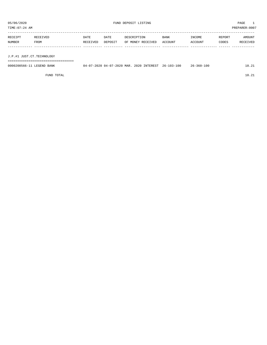TIME:07:24 AM PREPARER:0007

| RECEIPT | RECEIVED | DATE     | DATE    | DESCRIPTION       | BANK    | INCOME  | REPORT | AMOUNT   |
|---------|----------|----------|---------|-------------------|---------|---------|--------|----------|
| NUMBER  | FROM     | RECEIVED | DEPOSIT | OF MONEY RECEIVED | ACCOUNT | ACCOUNT | CODES  | RECEIVED |
|         |          |          |         |                   |         |         |        |          |
|         |          |          |         |                   |         |         |        |          |
|         |          |          |         |                   |         |         |        |          |

J.P.#1 JUST.CT.TECHNOLOGY

===================================

| 0000200566-1<br><sup>T</sup> EGEND<br>BANK | MAR.<br>04-07-2020<br>2020.<br>$04-$ | INTEREST<br>2020. | -103-100<br>$26 - 1$ | 100<br>$26 - 360 - 3$ | $\sim$ $\sim$ |
|--------------------------------------------|--------------------------------------|-------------------|----------------------|-----------------------|---------------|
|                                            |                                      |                   |                      |                       |               |

FUND TOTAL 10.21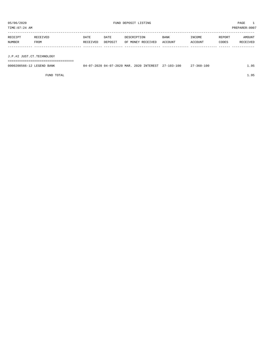TIME:07:24 AM PREPARER:0007

| RECEIPT                   | RECEIVED | DATE     | DATE    | DESCRIPTION       | <b>BANK</b> | INCOME  | REPORT | AMOUNT   |
|---------------------------|----------|----------|---------|-------------------|-------------|---------|--------|----------|
| NUMBER                    | FROM     | RECEIVED | DEPOSIT | OF MONEY RECEIVED | ACCOUNT     | ACCOUNT | CODES  | RECEIVED |
|                           |          |          |         |                   |             |         |        |          |
|                           |          |          |         |                   |             |         |        |          |
| J.P.#2 JUST.CT.TECHNOLOGY |          |          |         |                   |             |         |        |          |

===================================

| 0000200566-12 LEGEND BANK | 04-07-2020 04-07-2020 MAR. 2020 INTEREST 27-103-100 |  | $27 - 360 - 100$ | 1.95 |
|---------------------------|-----------------------------------------------------|--|------------------|------|

FUND TOTAL 1.95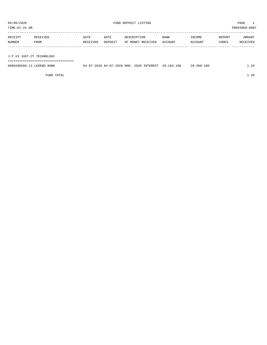TIME:07:24 AM PREPARER:0007

| RECEIPT | RECEIVED    | <b>DATE</b> | DATE    | DESCRIPTION       | BANK    | INCOME  | REPORT | AMOUNT   |
|---------|-------------|-------------|---------|-------------------|---------|---------|--------|----------|
| NUMBER  | <b>FROM</b> | RECEIVED    | DEPOSIT | OF MONEY RECEIVED | ACCOUNT | ACCOUNT | CODES  | RECEIVED |
|         |             |             |         |                   |         |         |        |          |
|         |             |             |         |                   |         |         |        |          |

J.P.#3 JUST.CT.TECHNOLOGY

===================================

| 0000200566-1<br>LEGEND<br>BANK | MAR<br>$04 - 07 - 20$<br>2020.<br>3020- | INTEREST<br>2020 | $103 -$<br>-100<br>$28 - 1$ | $28 - 360 - 100$ | $-0.20$ |
|--------------------------------|-----------------------------------------|------------------|-----------------------------|------------------|---------|
|                                |                                         |                  |                             |                  |         |

FUND TOTAL 1.20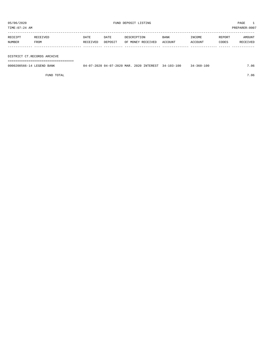TIME:07:24 AM PREPARER:0007

| RECEIPT       | <b>RECEIVED</b> | DATE     | DATE    | DESCRIPTION       | BANK    | INCOME  | REPORT | AMOUNT   |
|---------------|-----------------|----------|---------|-------------------|---------|---------|--------|----------|
| <b>NUMBER</b> | <b>FROM</b>     | RECEIVED | DEPOSIT | OF MONEY RECEIVED | ACCOUNT | ACCOUNT | CODES  | RECEIVED |
|               |                 |          |         |                   |         |         |        |          |

#### DISTRICT CT.RECORDS ARCHIVE

===================================

| 0000200566-14<br>BANK<br>LIBIC <del>I</del> BINIU. | $\sim$ $\sim$<br>MAR.<br>$-2020$<br>$\sim$ $\sim$ $\sim$<br>$114 -$<br>$\cdot$ | <b>TNTEREST</b><br>2020 | . | 100<br>360-<br>≺≄∙ | . 06 |
|----------------------------------------------------|--------------------------------------------------------------------------------|-------------------------|---|--------------------|------|
|                                                    |                                                                                |                         |   |                    |      |

FUND TOTAL 7.06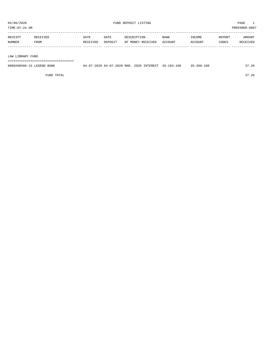| TIME:07:24 AM     |                  |                  |                 |                                  |                 |                   |                 | PREPARER: 0007     |
|-------------------|------------------|------------------|-----------------|----------------------------------|-----------------|-------------------|-----------------|--------------------|
| RECEIPT<br>NUMBER | RECEIVED<br>FROM | DATE<br>RECEIVED | DATE<br>DEPOSIT | DESCRIPTION<br>OF MONEY RECEIVED | BANK<br>ACCOUNT | INCOME<br>ACCOUNT | REPORT<br>CODES | AMOUNT<br>RECEIVED |
|                   |                  |                  |                 |                                  |                 |                   |                 |                    |
| LAW LIBRARY FUND  |                  |                  |                 |                                  |                 |                   |                 |                    |

===================================

| 0000200566-15 LEGEND BANK | 04-07-2020 04-07-2020 MAR. 2020 INTEREST 35-103-100 |  | $35 - 360 - 100$ | 37.26 |
|---------------------------|-----------------------------------------------------|--|------------------|-------|
|                           |                                                     |  |                  |       |

FUND TOTAL 37.26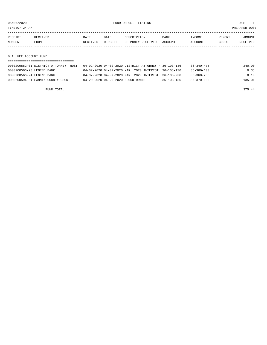TIME:07:24 AM PREPARER:0007

| RECEIPT | RECEIVED. | DATE     | DATE    | DESCRIPTION       | <b>BANK</b> | INCOME  | REPORT | AMOUNT          |
|---------|-----------|----------|---------|-------------------|-------------|---------|--------|-----------------|
| NUMBER  | FROM      | RECEIVED | DEPOSIT | OF MONEY RECEIVED | ACCOUNT     | ACCOUNT | CODES  | <b>RECEIVED</b> |
|         |           |          |         |                   |             |         |        |                 |

D.A. FEE ACCOUNT FUND

| 0000200552-01 DISTRICT ATTORNEY TRUST | 04-02-2020 04-02-2020 DISTRICT ATTORNEY F 36-103-136 |                  | $36 - 340 - 475$ | 240.00 |
|---------------------------------------|------------------------------------------------------|------------------|------------------|--------|
| 0000200566-23 LEGEND BANK             | 04-07-2020 04-07-2020 MAR. 2020 INTEREST 36-103-136  |                  | $36 - 360 - 100$ | 0.33   |
| 0000200566-24 LEGEND BANK             | 04-07-2020 04-07-2020 MAR. 2020 INTEREST 36-103-236  |                  | 36-360-236       | 0.10   |
| 0000200594-01 FANNIN COUNTY CSCD      | 04-20-2020 04-20-2020 BLOOD DRAWS                    | $36 - 103 - 136$ | $36 - 370 - 130$ | 135.01 |
|                                       |                                                      |                  |                  |        |

FUND TOTAL 375.44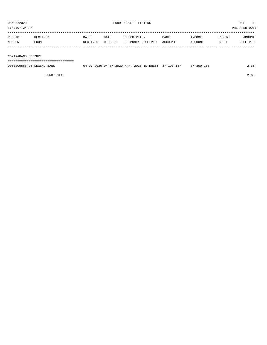TIME:07:24 AM PREPARER:0007 ----------------------------------------------------------------------------------------------------------------------------------- RECEIPT RECEIVED DATE DATE DESCRIPTION BANK INCOME REPORT AMOUNT

| RBUBIFI | RBUBIVB <i>D</i> | ם דאר    | <b>DAIL</b> | DESCRIFIIUN       | DAIN N  | <b>TIACOME</b> | REFURI | AMUUN 1          |
|---------|------------------|----------|-------------|-------------------|---------|----------------|--------|------------------|
| NUMBER  | FROM             | RECEIVED | DEPOSIT     | OF MONEY RECEIVED | ACCOUNT | ACCOUNT        | CODES  | EIVED<br>ז הם כד |
|         |                  |          |             |                   |         |                |        |                  |
|         |                  |          |             |                   |         |                |        |                  |

CONTRABAND SEIZURE

===================================

| 0000200566-25 LEGEND BANK | 04-07-2020 04-07-2020 MAR. | 2020 INTEREST 37-103-137 | 37-360-100 |  |
|---------------------------|----------------------------|--------------------------|------------|--|
|                           |                            |                          |            |  |

FUND TOTAL 2.65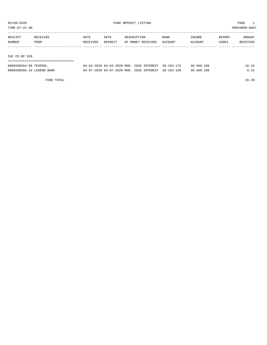TIME:07:24 AM PREPARER:0007

| RECEIPT | RECEIVED      | DATE     | DATE    | DESCRIPTION       | <b>BANK</b> | INCOME         | REPORT | AMOUNT   |  |  |
|---------|---------------|----------|---------|-------------------|-------------|----------------|--------|----------|--|--|
| NUMBER  | FROM          | RECEIVED | DEPOSIT | OF MONEY RECEIVED | ACCOUNT     | <b>ACCOUNT</b> | CODES  | RECEIVED |  |  |
|         |               |          |         |                   |             |                |        |          |  |  |
|         |               |          |         |                   |             |                |        |          |  |  |
|         | IHC CO-OP GIN |          |         |                   |             |                |        |          |  |  |
|         |               |          |         |                   |             |                |        |          |  |  |

| 0000200564-06 TEXPOOL     | 04-03-2020 04-03-2020 MAR. 2020 INTEREST 38-103-175 |  | $38 - 360 - 100$ | 16.34 |
|---------------------------|-----------------------------------------------------|--|------------------|-------|
| 0000200566-16 LEGEND BANK | 04-07-2020 04-07-2020 MAR, 2020 INTEREST 38-103-100 |  | $38 - 360 - 100$ |       |

FUND TOTAL 16.49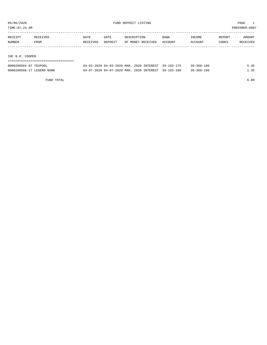TIME:07:24 AM PREPARER:0007

| RECEIPT         | RECEIVED | DATE     | DATE    | DESCRIPTION       | <b>BANK</b> | INCOME  | REPORT | AMOUNT   |
|-----------------|----------|----------|---------|-------------------|-------------|---------|--------|----------|
| NUMBER          | FROM     | RECEIVED | DEPOSIT | OF MONEY RECEIVED | ACCOUNT     | ACCOUNT | CODES  | RECEIVED |
|                 |          |          |         |                   |             |         |        |          |
|                 |          |          |         |                   |             |         |        |          |
| IHC B.R. COOPER |          |          |         |                   |             |         |        |          |
|                 |          |          |         |                   |             |         |        |          |

| 0000200564-07 TEXPOOL     | 04-03-2020 04-03-2020 MAR. 2020 INTEREST 39-103-175 |  | $39 - 360 - 100$ |  |
|---------------------------|-----------------------------------------------------|--|------------------|--|
| 0000200566-17 LEGEND BANK | 04-07-2020 04-07-2020 MAR. 2020 INTEREST 39-103-100 |  | 39-360-100       |  |

FUND TOTAL 6.80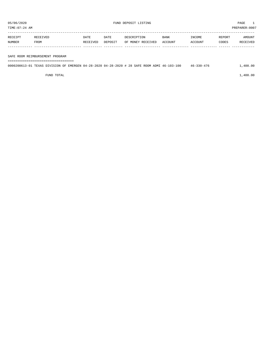| RECEIPT | <b>RECEIVED</b> | DATE     | DATE    | DESCRIPTION       | <b>BANK</b> | INCOME  | REPORT | AMOUNT   |
|---------|-----------------|----------|---------|-------------------|-------------|---------|--------|----------|
| NUMBER  | FROM            | RECEIVED | DEPOSIT | OF MONEY RECEIVED | ACCOUNT     | ACCOUNT | CODES  | RECEIVED |
|         |                 |          |         |                   |             |         |        |          |

#### SAFE ROOM REIMBURSEMENT PROGRAM

===================================

| 0000200613-01 TEXAS DIVISION OF EMERGEN 04-28-2020 04-28-2020 # 28 SAFE ROOM ADMI 46-103-100 |  |  |  |  |  |  | 46-330-476 |  | 1,400.00 |
|----------------------------------------------------------------------------------------------|--|--|--|--|--|--|------------|--|----------|
|                                                                                              |  |  |  |  |  |  |            |  |          |

FUND TOTAL  $1,400.00$ 

05/06/2020 FUND DEPOSIT LISTING PAGE 1 TIME:07:24 AM PREPARER:0007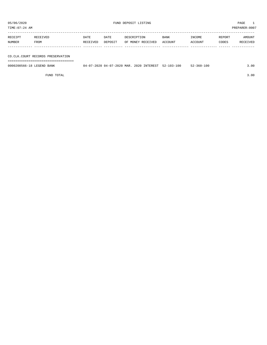TIME:07:24 AM PREPARER:0007

| RECEIPT | RECEIVED    | DATE     | DATE    | DESCRIPTION       | <b>BANK</b> | INCOME  | REPORT | AMOUNT   |
|---------|-------------|----------|---------|-------------------|-------------|---------|--------|----------|
| NUMBER  | <b>FROM</b> | RECEIVED | DEPOSIT | OF MONEY RECEIVED | ACCOUNT     | ACCOUNT | CODES  | RECEIVED |
|         |             |          |         |                   |             |         |        |          |

CO.CLK.COURT RECORDS PRESERVATION

===================================

| 0000200566-18 LEGEND BANK | 04-07-2020 04-07-2020 MAR. 2020 INTEREST 52-103-100 |  | $52 - 360 - 100$ | 3.00 |
|---------------------------|-----------------------------------------------------|--|------------------|------|
|                           |                                                     |  |                  |      |

FUND TOTAL 3.00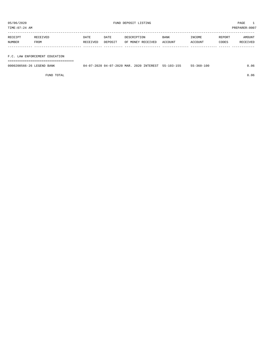| TIME: 07:24 AM |          |          |         |                   |             |         |        | PREPARER:0007 |
|----------------|----------|----------|---------|-------------------|-------------|---------|--------|---------------|
| RECEIPT        | RECEIVED | DATE     | DATE    | DESCRIPTION       | <b>BANK</b> | INCOME  | REPORT | AMOUNT        |
| NUMBER         | FROM     | RECEIVED | DEPOSIT | OF MONEY RECEIVED | ACCOUNT     | ACCOUNT | CODES  | RECEIVED      |
|                |          |          |         |                   |             |         |        |               |
|                |          |          |         |                   |             |         |        |               |

F.C. LAW ENFORCEMENT EDUCATION

===================================

| 0000200566-26 LEGEND BANK | 04-07-2020 04-07-2020 MAR. 2020 INTEREST 55-103-155 |  | $55 - 360 - 100$ | 0.06 |
|---------------------------|-----------------------------------------------------|--|------------------|------|
|                           |                                                     |  |                  |      |

FUND TOTAL 0.06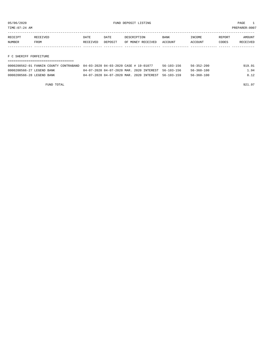TIME:07:24 AM PREPARER:0007

| RECEIPT | <b>RECEIVED</b> | DATE     | DATE    | DESCRIPTION       | <b>BANK</b> | INCOME  | REPORT | AMOUNT   |
|---------|-----------------|----------|---------|-------------------|-------------|---------|--------|----------|
| NUMBER  | FROM            | RECEIVED | DEPOSIT | OF MONEY RECEIVED | ACCOUNT     | ACCOUNT | CODES  | RECEIVED |
|         |                 |          |         |                   |             |         |        |          |

F C SHERIFF FORFEITURE

| 0000200562-01 FANNIN COUNTY CONTRABAND 04-03-2020 04-03-2020 CASE # 19-01077 |                                                     | $56 - 103 - 156$ | 56-352-200 | 919.91 |
|------------------------------------------------------------------------------|-----------------------------------------------------|------------------|------------|--------|
| 0000200566-27 LEGEND BANK                                                    | 04-07-2020 04-07-2020 MAR. 2020 INTEREST 56-103-156 |                  | 56-360-100 | 1.94   |
| 0000200566-28 LEGEND BANK                                                    | 04-07-2020 04-07-2020 MAR. 2020 INTEREST 56-103-159 |                  | 56-360-100 | 0.12   |

FUND TOTAL  $921.97$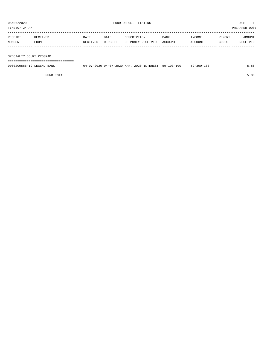TIME:07:24 AM PREPARER:0007

| RECEIPT | RECEIVED    | DATE     | DATE    | DESCRIPTION       | <b>BANK</b> | INCOME  | REPORT | AMOUNT   |
|---------|-------------|----------|---------|-------------------|-------------|---------|--------|----------|
| NUMBER  | <b>FROM</b> | RECEIVED | DEPOSIT | OF MONEY RECEIVED | ACCOUNT     | ACCOUNT | CODES  | RECEIVED |
|         |             |          |         |                   |             |         |        |          |
|         |             |          |         |                   |             |         |        |          |

SPECIALTY COURT PROGRAM

===================================

| 0000200566-19 LEGEND<br>BANK | 7-2020 MAR<br>$\cap$<br>ິດລດ<br>$(14 - 1)$<br>$1 - 211$<br>- 17 | 2020 INTEREST | $59 - 103 - 100$ | 100<br>-360-1<br>ĘQ. | ರ್ಕ |
|------------------------------|-----------------------------------------------------------------|---------------|------------------|----------------------|-----|
|                              |                                                                 |               |                  |                      |     |

FUND TOTAL 5.86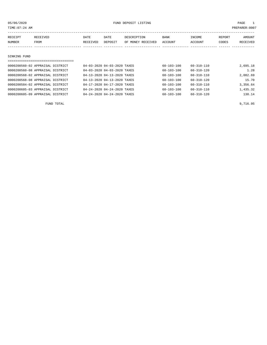| TIME: 07:24 AM | PREPARER: 0007                   |          |                             |                   |                  |                  |        |          |  |  |
|----------------|----------------------------------|----------|-----------------------------|-------------------|------------------|------------------|--------|----------|--|--|
|                |                                  |          |                             |                   |                  |                  |        |          |  |  |
| RECEIPT        | RECEIVED                         | DATE     | DATE                        | DESCRIPTION       | BANK             | INCOME           | REPORT | AMOUNT   |  |  |
| NUMBER         | FROM                             | RECEIVED | DEPOSIT                     | OF MONEY RECEIVED | ACCOUNT          | ACCOUNT          | CODES  | RECEIVED |  |  |
|                |                                  |          |                             |                   |                  |                  |        |          |  |  |
|                |                                  |          |                             |                   |                  |                  |        |          |  |  |
| SINKING FUND   |                                  |          |                             |                   |                  |                  |        |          |  |  |
|                |                                  |          |                             |                   |                  |                  |        |          |  |  |
|                | 0000200560-02 APPRAISAL DISTRICT |          | 04-03-2020 04-03-2020 TAXES |                   | $60 - 103 - 100$ | $60 - 310 - 110$ |        | 2,695.18 |  |  |
|                | 0000200560-08 APPRAISAL DISTRICT |          | 04-03-2020 04-03-2020 TAXES |                   | $60 - 103 - 100$ | $60 - 310 - 120$ |        | 1.28     |  |  |
|                | 0000200568-02 APPRAISAL DISTRICT |          | 04-13-2020 04-13-2020 TAXES |                   | $60 - 103 - 100$ | $60 - 310 - 110$ |        | 2,082.69 |  |  |

0000200568-08 APPRAISAL DISTRICT 04-13-2020 04-13-2020 TAXES 60-103-100 60-310-120 15.70 0000200584-02 APPRAISAL DISTRICT 04-17-2020 04-17-2020 TAXES 60-103-100 60-310-110 3,356.64

| 0000200605-03 APPRAISAL DISTRICT | 04-24-2020 04-24-2020 TAXES | 60-103-100 | 60-310-110       | 1,435.32 |
|----------------------------------|-----------------------------|------------|------------------|----------|
| 0000200605-09 APPRAISAL DISTRICT | 04-24-2020 04-24-2020 TAXES | 60-103-100 | $60 - 310 - 120$ | 130.14   |
|                                  |                             |            |                  |          |
| FUND TOTAL                       |                             |            |                  | 9,716.95 |
|                                  |                             |            |                  |          |
|                                  |                             |            |                  |          |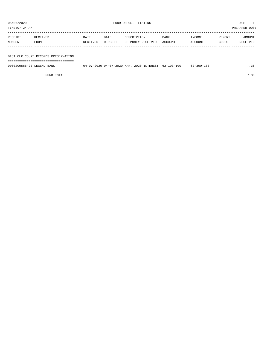| TIME: 07:24 AM<br>PREPARER: 0007 |                                     |          |         |                   |         |         |        |          |  |  |  |
|----------------------------------|-------------------------------------|----------|---------|-------------------|---------|---------|--------|----------|--|--|--|
|                                  |                                     |          |         |                   |         |         |        |          |  |  |  |
| RECEIPT                          | RECEIVED                            | DATE     | DATE    | DESCRIPTION       | BANK    | INCOME  | REPORT | AMOUNT   |  |  |  |
| NUMBER                           | FROM                                | RECEIVED | DEPOSIT | OF MONEY RECEIVED | ACCOUNT | ACCOUNT | CODES  | RECEIVED |  |  |  |
|                                  |                                     |          |         |                   |         |         |        |          |  |  |  |
|                                  |                                     |          |         |                   |         |         |        |          |  |  |  |
|                                  | DIST.CLK.COURT RECORDS PRESERVATION |          |         |                   |         |         |        |          |  |  |  |
|                                  |                                     |          |         |                   |         |         |        |          |  |  |  |

0000200566-20 LEGEND BANK 04-07-2020 04-07-2020 MAR. 2020 INTEREST 62-103-100 62-360-100 7.36

FUND TOTAL  $7.36$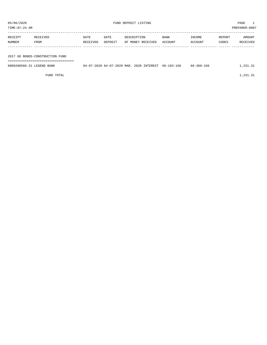TIME:07:24 AM PREPARER:0007 ----------------------------------------------------------------------------------------------------------------------------------- RECEIPT RECEIVED DATE DATE DESCRIPTION BANK INCOME REPORT AMOUNT NUMBER FROM RECEIVED DEPOSIT OF MONEY RECEIVED ACCOUNT ACCOUNT CODES RECEIVED ------------- ------------------------- ---------- ---------- ------------------- -------------- -------------- ------ ------------

2017 GO BONDS-CONSTRUCTION FUND

===================================

| 0000200566-31 LEGEND BANK | 04-07-2020 04-07-2020 MAR. 2020 INTEREST 66-103-166 |  | 66-360-166 | 1,231.31 |
|---------------------------|-----------------------------------------------------|--|------------|----------|
|                           |                                                     |  |            |          |

FUND TOTAL  $1,231.31$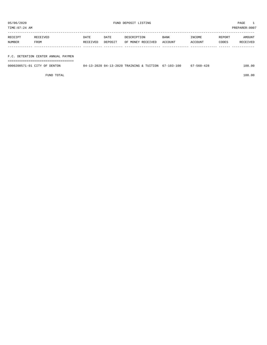TIME:07:24 AM PREPARER:0007

| RECEIPT | RECEIVED | <b>DATE</b> | DATE    | DESCRIPTION       | <b>BANK</b> | INCOME  | REPORT | AMOUNT   |
|---------|----------|-------------|---------|-------------------|-------------|---------|--------|----------|
| NUMBER  | FROM     | RECEIVED    | DEPOSIT | OF MONEY RECEIVED | ACCOUNT     | ACCOUNT | CODES  | RECEIVED |
|         |          |             |         |                   |             |         |        |          |
|         |          |             |         |                   |             |         |        |          |

## F.C. DETENTION CENTER ANNUAL PAYMEN

===================================

| 0000200571<br>1-01 CITY<br>DENTON<br>OF | n 4 – | 13-2020 04-13-2020 TRAINING & TUITION | 67-103-100 | $-560 - 428$<br>01 | 100.00 |
|-----------------------------------------|-------|---------------------------------------|------------|--------------------|--------|
|                                         |       |                                       |            |                    |        |

FUND TOTAL 100.00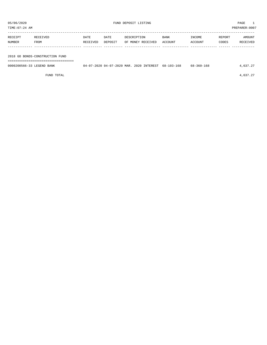05/06/2020 PAGE 1<br>TIME:07:24 AM PREPARER:0007

| TIME:07:24 AM | PREPARER:0007 |
|---------------|---------------|
|               |               |
|               |               |

| RECEIPT | RECEIVED | <b>DATE</b> | DATE    | DESCRIPTION       | <b>BANK</b> | INCOME  | REPORT | AMOUNT   |
|---------|----------|-------------|---------|-------------------|-------------|---------|--------|----------|
| NUMBER  | FROM     | RECEIVED    | DEPOSIT | OF MONEY RECEIVED | ACCOUNT     | ACCOUNT | CODES  | RECEIVED |
|         |          |             |         |                   |             |         |        |          |
|         |          |             |         |                   |             |         |        |          |

2018 GO BONDS-CONSTRUCTION FUND

===================================

| 0000200566-33 LEGEND BANK | 04-07-2020 04-07-2020 MAR. 2020 INTEREST 68-103-168 |  | $68 - 360 - 168$ | 4,637.27 |
|---------------------------|-----------------------------------------------------|--|------------------|----------|
|                           |                                                     |  |                  |          |

FUND TOTAL  $4,637.27$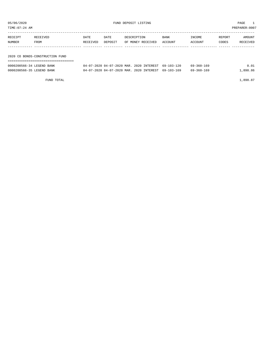| TIME: 07:24 AM            |                                 |          |                                          |                   |  |             |                  | PREPARER: 0007 |          |  |  |
|---------------------------|---------------------------------|----------|------------------------------------------|-------------------|--|-------------|------------------|----------------|----------|--|--|
| RECEIPT                   | RECEIVED                        | DATE     | DATE                                     | DESCRIPTION       |  | <b>BANK</b> | INCOME           | REPORT         | AMOUNT   |  |  |
| NUMBER                    | <b>FROM</b>                     | RECEIVED | DEPOSIT                                  | OF MONEY RECEIVED |  | ACCOUNT     | ACCOUNT          | CODES          | RECEIVED |  |  |
|                           |                                 |          |                                          |                   |  |             |                  |                |          |  |  |
|                           | 2020 CO BONDS-CONSTRUCTION FUND |          |                                          |                   |  |             |                  |                |          |  |  |
| 0000200566-34 LEGEND BANK |                                 |          | 04-07-2020 04-07-2020 MAR, 2020 INTEREST |                   |  | 69-103-120  | 69-360-169       |                | 0.01     |  |  |
| 0000200566-35 LEGEND BANK |                                 |          | 04-07-2020 04-07-2020 MAR. 2020 INTEREST |                   |  | 69-103-169  | $69 - 360 - 169$ |                | 1,898.86 |  |  |

FUND TOTAL  $1,898.87$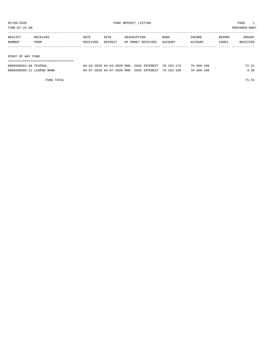|                     | TIME: 07:24 AM            |              |          |                                          |  |                   |                  |                  | PREPARER: 0007 |          |
|---------------------|---------------------------|--------------|----------|------------------------------------------|--|-------------------|------------------|------------------|----------------|----------|
| RECEIPT<br>RECEIVED |                           | DATE<br>DATE |          | DESCRIPTION                              |  | <b>BANK</b>       | INCOME           | REPORT           | AMOUNT         |          |
|                     | NUMBER                    | FROM         | RECEIVED | DEPOSIT                                  |  | OF MONEY RECEIVED | ACCOUNT          | ACCOUNT          | CODES          | RECEIVED |
|                     |                           |              |          |                                          |  |                   |                  |                  |                |          |
|                     | RIGHT OF WAY FUND         |              |          |                                          |  |                   |                  |                  |                |          |
|                     |                           |              |          |                                          |  |                   |                  |                  |                |          |
|                     | 0000200564-08 TEXPOOL     |              |          | 04-03-2020 04-03-2020 MAR. 2020 INTEREST |  |                   | $70 - 103 - 175$ | $70 - 360 - 100$ |                | 72.21    |
|                     | 0000200566-21 LEGEND BANK |              |          | 04-07-2020 04-07-2020 MAR, 2020 INTEREST |  |                   | $70 - 103 - 100$ | $70 - 360 - 100$ |                | 3.30     |

FUND TOTAL 75.51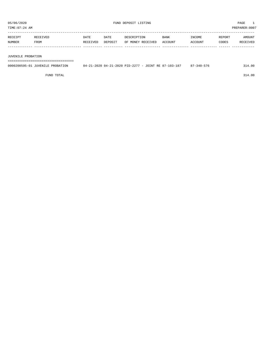| RECEIPT | <b>RECEIVED</b> | DATE     | DATE    | DESCRIPTION       | <b>BANK</b>    | <b>INCOME</b> | REPORT | AMOUNT          |
|---------|-----------------|----------|---------|-------------------|----------------|---------------|--------|-----------------|
| NUMBER  | FROM            | RECEIVED | DEPOSIT | OF MONEY RECEIVED | <b>ACCOUNT</b> | <b>CCOUNT</b> | CODES  | <b>RECEIVED</b> |
|         |                 |          |         |                   |                |               |        |                 |

#### JUVENILE PROBATION

===================================

| 0000200595-01 JUVENILE PROBATION | 04-21-2020 04-21-2020 PID-2277 - JOINT RE 87-103-187 | $87 - 340 - 576$ | 314.00 |
|----------------------------------|------------------------------------------------------|------------------|--------|
|                                  |                                                      |                  |        |

FUND TOTAL 314.00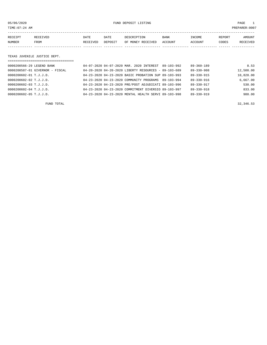05/06/2020 FUND DEPOSIT LISTING PAGE 1

| RECEIPT | <b>RECEIVED</b> | DATE     | DATE    | DESCRIPTION       | BANK    | INCOME  | REPORT | AMOUNT          |
|---------|-----------------|----------|---------|-------------------|---------|---------|--------|-----------------|
| NUMBER  | FROM            | RECEIVED | DEPOSIT | OF MONEY RECEIVED | ACCOUNT | ACCOUNT | CODES  | <b>RECEIVED</b> |
|         |                 |          |         |                   |         |         |        |                 |

#### TEXAS JUVENILE JUSTICE DEPT.

| =================================== |                                                      |            |                  |           |
|-------------------------------------|------------------------------------------------------|------------|------------------|-----------|
| 0000200566-29 LEGEND BANK           | 04-07-2020 04-07-2020 MAR. 2020 INTEREST 89-103-992  |            | $89 - 360 - 189$ | 8.53      |
| 0000200587-01 GIVERNOR - FISCAL     | 04-20-2020 04-20-2020 LIBERTY RESOURCES - 89-103-689 |            | $89 - 330 - 908$ | 12,500.00 |
| 0000200602-01 T.J.J.D.              | 04-23-2020 04-23-2020 BASIC PROBATION SUP 89-103-993 |            | $89 - 330 - 915$ | 10,828.00 |
| 0000200602-02 T.J.J.D.              | 04-23-2020 04-23-2020 COMMUNITY PROGRAMS             | 89-103-994 | 89-330-916       | 6,667.00  |
| 0000200602-03 T.J.J.D.              | 04-23-2020 04-23-2020 PRE/POST ADJUDICATI 89-103-996 |            | 89-330-917       | 530.00    |
| 0000200602-04 T.J.J.D.              | 04-23-2020 04-23-2020 COMMITMENT DIVERSIO 89-103-997 |            | $89 - 330 - 918$ | 833.00    |
| 0000200602-05 T.J.J.D.              | 04-23-2020 04-23-2020 MENTAL HEALTH SERVI 89-103-998 |            | $89 - 330 - 919$ | 980.00    |

FUND TOTAL  $32,346.53$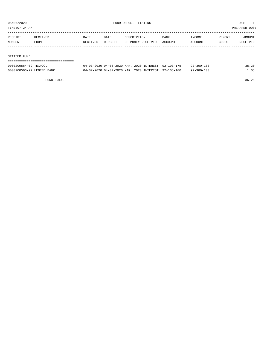TIME:07:24 AM PREPARER:0007

| RECEIPT          | RECEIVED | DATE     | DATE    | DESCRIPTION       | BANK    | INCOME  | REPORT | AMOUNT   |
|------------------|----------|----------|---------|-------------------|---------|---------|--------|----------|
| NUMBER           | FROM     | RECEIVED | DEPOSIT | OF MONEY RECEIVED | ACCOUNT | ACCOUNT | CODES  | RECEIVED |
|                  |          |          |         |                   |         |         |        |          |
| $CDMMDDD$ $DIMD$ |          |          |         |                   |         |         |        |          |

#### STATZER FUND

| 0000200564-09 TEXPOOL     | 04-03-2020 04-03-2020 MAR, 2020 INTEREST 92-103-175 |  | 92-360-100       | 35.20 |
|---------------------------|-----------------------------------------------------|--|------------------|-------|
| 0000200566-22 LEGEND BANK | 04-07-2020 04-07-2020 MAR, 2020 INTEREST 92-103-100 |  | $92 - 360 - 100$ | 1.05  |

FUND TOTAL 36.25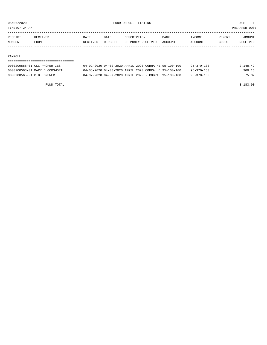05/06/2020 FUND DEPOSIT LISTING PAGE 1 TIME:07:24 AM PREPARER:0007

----------------------------------------------------------------------------------------------------------------------------------- RECEIPT RECEIVED DATE DATE DESCRIPTION BANK INCOME REPORT AMOUNT NUMBER FROM RECEIVED DEPOSIT OF MONEY RECEIVED ACCOUNT ACCOUNT CODES RECEIVED ------------- ------------------------- ---------- ---------- ------------------- -------------- -------------- ------ ------------

#### PAYROLL

### =================================== 0000200558-01 CLC PROPERTIES 04-02-2020 04-02-2020 APRIL 2020 COBRA HE 95-100-100 95-370-130 2,148.42 0000200563-01 MARY BLOODSWORTH 04-03-2020 04-03-2020 APRIL 2020 COBRA HE 95-100-100 95-370-130 960.16 0000200565-01 C.D. BREWER 04-07-2020 04-07-2020 APRIL 2020 - COBRA 95-100-100 95-370-130 75.32

FUND TOTAL 3,183.90